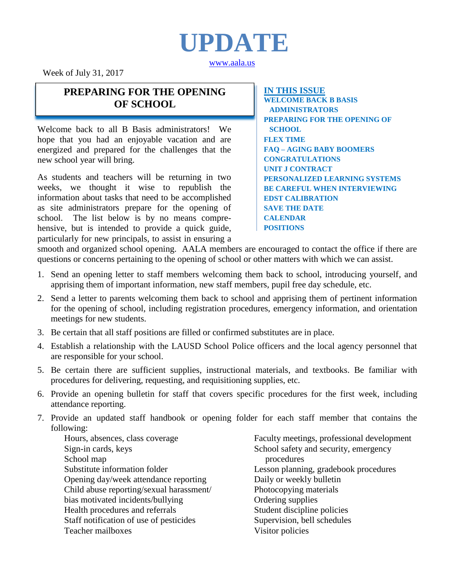

[www.aala.us](http://www.aala.us/)

Week of July 31, 2017

### **PREPARING FOR THE OPENING OF SCHOOL**

Welcome back to all B Basis administrators! We hope that you had an enjoyable vacation and are energized and prepared for the challenges that the new school year will bring.

As students and teachers will be returning in two weeks, we thought it wise to republish the information about tasks that need to be accomplished as site administrators prepare for the opening of school. The list below is by no means comprehensive, but is intended to provide a quick guide, particularly for new principals, to assist in ensuring a

**IN THIS ISSUE WELCOME BACK B BASIS ADMINISTRATORS PREPARING FOR THE OPENING OF SCHOOL FLEX TIME FAQ – AGING BABY BOOMERS CONGRATULATIONS UNIT J CONTRACT PERSONALIZED LEARNING SYSTEMS BE CAREFUL WHEN INTERVIEWING EDST CALIBRATION SAVE THE DATE CALENDAR POSITIONS**

smooth and organized school opening. AALA members are encouraged to contact the office if there are questions or concerns pertaining to the opening of school or other matters with which we can assist.

- 1. Send an opening letter to staff members welcoming them back to school, introducing yourself, and apprising them of important information, new staff members, pupil free day schedule, etc.
- 2. Send a letter to parents welcoming them back to school and apprising them of pertinent information for the opening of school, including registration procedures, emergency information, and orientation meetings for new students.
- 3. Be certain that all staff positions are filled or confirmed substitutes are in place.
- 4. Establish a relationship with the LAUSD School Police officers and the local agency personnel that are responsible for your school.
- 5. Be certain there are sufficient supplies, instructional materials, and textbooks. Be familiar with procedures for delivering, requesting, and requisitioning supplies, etc.
- 6. Provide an opening bulletin for staff that covers specific procedures for the first week, including attendance reporting.
- 7. Provide an updated staff handbook or opening folder for each staff member that contains the following:

Hours, absences, class coverage Sign-in cards, keys School map Substitute information folder Opening day/week attendance reporting Child abuse reporting/sexual harassment/ bias motivated incidents/bullying Health procedures and referrals Staff notification of use of pesticides Teacher mailboxes

Faculty meetings, professional development School safety and security, emergency procedures Lesson planning, gradebook procedures Daily or weekly bulletin Photocopying materials Ordering supplies Student discipline policies Supervision, bell schedules Visitor policies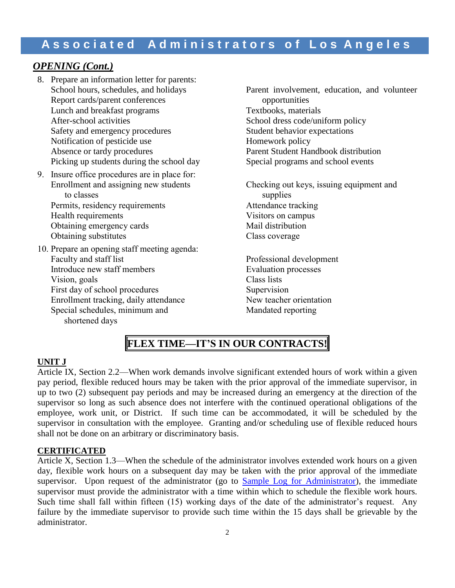### *OPENING (Cont.)*

- 8. Prepare an information letter for parents: Report cards/parent conferences opportunities Lunch and breakfast programs Textbooks, materials After-school activities<br>
School dress code/uniform policy<br>
Student behavior expectations<br>
Student behavior expectations Safety and emergency procedures Notification of pesticide use Homework policy<br>Absence or tardy procedures Parent Student Ha Picking up students during the school day Special programs and school events
- 9. Insure office procedures are in place for: to classes<br>
supplies<br>
mits, residency requirements<br>
Attendance tracking Permits, residency requirements Health requirements Visitors on campus Obtaining emergency cards Mail distribution Obtaining substitutes Class coverage
- 10. Prepare an opening staff meeting agenda: Introduce new staff members Vision, goals Class lists First day of school procedures Supervision Enrollment tracking, daily attendance New teacher orientation<br>Special schedules, minimum and Mandated reporting Special schedules, minimum and shortened days

Parent involvement, education, and volunteer Parent Student Handbook distribution Enrollment and assigning new students Checking out keys, issuing equipment and Professional development<br>Evaluation processes

### **FLEX TIME—IT'S IN OUR CONTRACTS!**

#### **UNIT J**

Article IX, Section 2.2—When work demands involve significant extended hours of work within a given pay period, flexible reduced hours may be taken with the prior approval of the immediate supervisor, in up to two (2) subsequent pay periods and may be increased during an emergency at the direction of the supervisor so long as such absence does not interfere with the continued operational obligations of the employee, work unit, or District. If such time can be accommodated, it will be scheduled by the supervisor in consultation with the employee. Granting and/or scheduling use of flexible reduced hours shall not be done on an arbitrary or discriminatory basis.

#### **CERTIFICATED**

Article X, Section 1.3—When the schedule of the administrator involves extended work hours on a given day, flexible work hours on a subsequent day may be taken with the prior approval of the immediate supervisor. Upon request of the administrator (go to **[Sample Log for](http://www.aala.us/docs/2011/02/1484_001.pdf) Administrator**), the immediate supervisor must provide the administrator with a time within which to schedule the flexible work hours. Such time shall fall within fifteen (15) working days of the date of the administrator's request. Any failure by the immediate supervisor to provide such time within the 15 days shall be grievable by the administrator.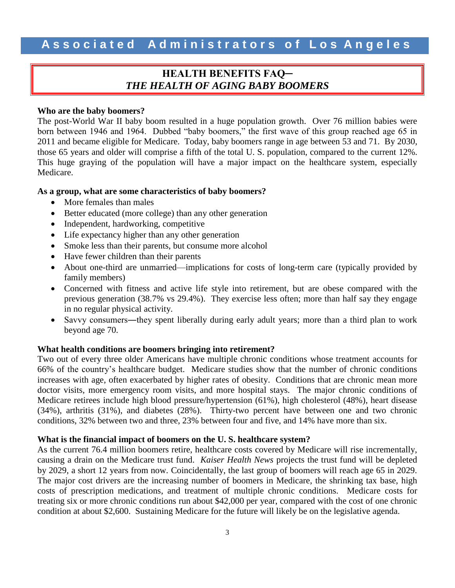### **HEALTH BENEFITS FAQ─** *THE HEALTH OF AGING BABY BOOMERS*

#### **Who are the baby boomers?**

The post-World War II baby boom resulted in a huge population growth. Over 76 million babies were born between 1946 and 1964. Dubbed "baby boomers," the first wave of this group reached age 65 in 2011 and became eligible for Medicare. Today, baby boomers range in age between 53 and 71. By 2030, those 65 years and older will comprise a fifth of the total U. S. population, compared to the current 12%. This huge graying of the population will have a major impact on the healthcare system, especially Medicare.

#### **As a group, what are some characteristics of baby boomers?**

- More females than males
- Better educated (more college) than any other generation
- Independent, hardworking, competitive
- Life expectancy higher than any other generation
- Smoke less than their parents, but consume more alcohol
- Have fewer children than their parents
- About one-third are unmarried—implications for costs of long-term care (typically provided by family members)
- Concerned with fitness and active life style into retirement, but are obese compared with the previous generation (38.7% vs 29.4%). They exercise less often; more than half say they engage in no regular physical activity.
- Savvy consumers—they spent liberally during early adult years; more than a third plan to work beyond age 70.

#### **What health conditions are boomers bringing into retirement?**

Two out of every three older Americans have multiple chronic conditions whose treatment accounts for 66% of the country's healthcare budget. Medicare studies show that the number of chronic conditions increases with age, often exacerbated by higher rates of obesity. Conditions that are chronic mean more doctor visits, more emergency room visits, and more hospital stays. The major chronic conditions of Medicare retirees include high blood pressure/hypertension (61%), high cholesterol (48%), heart disease (34%), arthritis (31%), and diabetes (28%). Thirty-two percent have between one and two chronic conditions, 32% between two and three, 23% between four and five, and 14% have more than six.

#### **What is the financial impact of boomers on the U. S. healthcare system?**

As the current 76.4 million boomers retire, healthcare costs covered by Medicare will rise incrementally, causing a drain on the Medicare trust fund. *Kaiser Health News* projects the trust fund will be depleted by 2029, a short 12 years from now. Coincidentally, the last group of boomers will reach age 65 in 2029. The major cost drivers are the increasing number of boomers in Medicare, the shrinking tax base, high costs of prescription medications, and treatment of multiple chronic conditions. Medicare costs for treating six or more chronic conditions run about \$42,000 per year, compared with the cost of one chronic condition at about \$2,600. Sustaining Medicare for the future will likely be on the legislative agenda.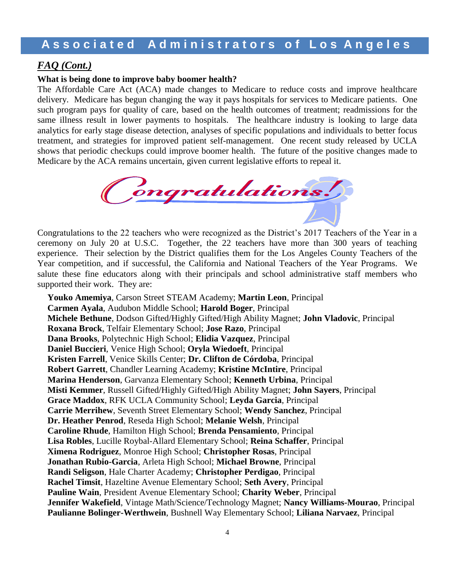### *FAQ (Cont.)*

#### **What is being done to improve baby boomer health?**

The Affordable Care Act (ACA) made changes to Medicare to reduce costs and improve healthcare delivery. Medicare has begun changing the way it pays hospitals for services to Medicare patients. One such program pays for quality of care, based on the health outcomes of treatment; readmissions for the same illness result in lower payments to hospitals. The healthcare industry is looking to large data analytics for early stage disease detection, analyses of specific populations and individuals to better focus treatment, and strategies for improved patient self-management. One recent study released by UCLA shows that periodic checkups could improve boomer health. The future of the positive changes made to Medicare by the ACA remains uncertain, given current legislative efforts to repeal it.



Congratulations to the 22 teachers who were recognized as the District's 2017 Teachers of the Year in a ceremony on July 20 at U.S.C. Together, the 22 teachers have more than 300 years of teaching experience. Their selection by the District qualifies them for the Los Angeles County Teachers of the Year competition, and if successful, the California and National Teachers of the Year Programs. We salute these fine educators along with their principals and school administrative staff members who supported their work. They are:

**Youko Amemiya**, Carson Street STEAM Academy; **Martin Leon**, Principal **Carmen Ayala**, Audubon Middle School; **Harold Boger**, Principal **Michele Bethune**, Dodson Gifted/Highly Gifted/High Ability Magnet; **John Vladovic**, Principal **Roxana Brock**, Telfair Elementary School; **Jose Razo**, Principal **Dana Brooks**, Polytechnic High School; **Elidia Vazquez**, Principal **Daniel Buccieri**, Venice High School; **Oryla Wiedoeft**, Principal **Kristen Farrell**, Venice Skills Center; **Dr. Clifton de Córdoba**, Principal **Robert Garrett**, Chandler Learning Academy; **Kristine McIntire**, Principal **Marina Henderson**, Garvanza Elementary School; **Kenneth Urbina**, Principal **Misti Kemmer**, Russell Gifted/Highly Gifted/High Ability Magnet; **John Sayers**, Principal **Grace Maddox**, RFK UCLA Community School; **Leyda Garcia**, Principal **Carrie Merrihew**, Seventh Street Elementary School; **Wendy Sanchez**, Principal **Dr. Heather Penrod**, Reseda High School; **Melanie Welsh**, Principal **Caroline Rhude**, Hamilton High School; **Brenda Pensamiento**, Principal **Lisa Robles**, Lucille Roybal-Allard Elementary School; **Reina Schaffer**, Principal **Ximena Rodriguez**, Monroe High School; **Christopher Rosas**, Principal **Jonathan Rubio-Garcia**, Arleta High School; **Michael Browne**, Principal **Randi Seligson**, Hale Charter Academy; **Christopher Perdigao**, Principal **Rachel Timsit**, Hazeltine Avenue Elementary School; **Seth Avery**, Principal **Pauline Wain**, President Avenue Elementary School; **Charity Weber**, Principal **Jennifer Wakefield**, Vintage Math/Science/Technology Magnet; **Nancy Williams-Mourao**, Principal **Paulianne Bolinger-Werthwein**, Bushnell Way Elementary School; **Liliana Narvaez**, Principal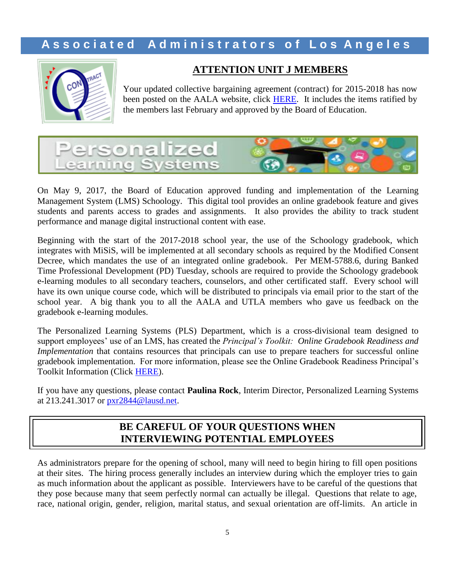

### **ATTENTION UNIT J MEMBERS**

Your updated collective bargaining agreement (contract) for 2015-2018 has now been posted on the AALA website, click [HERE.](http://www.aala.us/docs/2017/07/2015-2018-AALA-Unit-J-Contract.pdf) It includes the items ratified by the members last February and approved by the Board of Education.



On May 9, 2017, the Board of Education approved funding and implementation of the Learning Management System (LMS) Schoology. This digital tool provides an online gradebook feature and gives students and parents access to grades and assignments. It also provides the ability to track student performance and manage digital instructional content with ease.

Beginning with the start of the 2017-2018 school year, the use of the Schoology gradebook, which integrates with MiSiS, will be implemented at all secondary schools as required by the Modified Consent Decree, which mandates the use of an integrated online gradebook. Per MEM-5788.6, during Banked Time Professional Development (PD) Tuesday, schools are required to provide the Schoology gradebook e-learning modules to all secondary teachers, counselors, and other certificated staff. Every school will have its own unique course code, which will be distributed to principals via email prior to the start of the school year. A big thank you to all the AALA and UTLA members who gave us feedback on the gradebook e-learning modules.

The Personalized Learning Systems (PLS) Department, which is a cross-divisional team designed to support employees' use of an LMS, has created the *Principal's Toolkit: Online Gradebook Readiness and Implementation* that contains resources that principals can use to prepare teachers for successful online gradebook implementation. For more information, please see the Online Gradebook Readiness Principal's Toolkit Information (Click [HERE\)](http://www.aala.us/docs/2017/07/2017-2018SecondaryOnlineGradebook.PrincipalReadinessToolkit-1.pdf).

If you have any questions, please contact **Paulina Rock**, Interim Director, Personalized Learning Systems at 213.241.3017 or [pxr2844@lausd.net.](mailto:pxr2844@lausd.net)

### **BE CAREFUL OF YOUR QUESTIONS WHEN INTERVIEWING POTENTIAL EMPLOYEES**

As administrators prepare for the opening of school, many will need to begin hiring to fill open positions at their sites. The hiring process generally includes an interview during which the employer tries to gain as much information about the applicant as possible. Interviewers have to be careful of the questions that they pose because many that seem perfectly normal can actually be illegal. Questions that relate to age, race, national origin, gender, religion, marital status, and sexual orientation are off-limits. An article in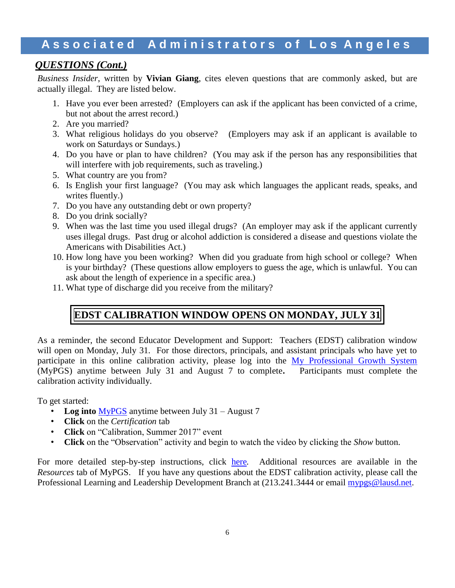### *QUESTIONS (Cont.)*

*Business Insider*, written by **Vivian Giang**, cites eleven questions that are commonly asked, but are actually illegal. They are listed below.

- 1. Have you ever been arrested? (Employers can ask if the applicant has been convicted of a crime, but not about the arrest record.)
- 2. Are you married?
- 3. What religious holidays do you observe? (Employers may ask if an applicant is available to work on Saturdays or Sundays.)
- 4. Do you have or plan to have children? (You may ask if the person has any responsibilities that will interfere with job requirements, such as traveling.)
- 5. What country are you from?
- 6. Is English your first language? (You may ask which languages the applicant reads, speaks, and writes fluently.)
- 7. Do you have any outstanding debt or own property?
- 8. Do you drink socially?
- 9. When was the last time you used illegal drugs? (An employer may ask if the applicant currently uses illegal drugs. Past drug or alcohol addiction is considered a disease and questions violate the Americans with Disabilities Act.)
- 10. How long have you been working? When did you graduate from high school or college? When is your birthday? (These questions allow employers to guess the age, which is unlawful. You can ask about the length of experience in a specific area.)
- 11. What type of discharge did you receive from the military?

### **EDST CALIBRATION WINDOW OPENS ON MONDAY, JULY 31**

As a reminder, the second Educator Development and Support: Teachers (EDST) calibration window will open on Monday, July 31. For those directors, principals, and assistant principals who have yet to participate in this online calibration activity, please log into the [My Professional Growth System](https://lausd.truenorthlogic.com/) (MyPGS) anytime between July 31 and August 7 to complete**.** Participants must complete the calibration activity individually.

To get started:

- **Log into** [MyPGS](https://lausd.truenorthlogic.com/) anytime between July 31 August 7
- **Click** on the *Certification* tab
- **Click** on "Calibration, Summer 2017" event
- **Click** on the "Observation" activity and begin to watch the video by clicking the *Show* button.

For more detailed step-by-step instructions, click [here](https://achieve.lausd.net/cms/lib08/CA01000043/Centricity/Domain/433/2017%20Summer%20Calibration%20Instructions.pdf)*.* Additional resources are available in the *Resources* tab of MyPGS. If you have any questions about the EDST calibration activity, please call the Professional Learning and Leadership Development Branch at  $(213.241.3444$  or email [mypgs@lausd.net.](mailto:mypgs@lausd.net)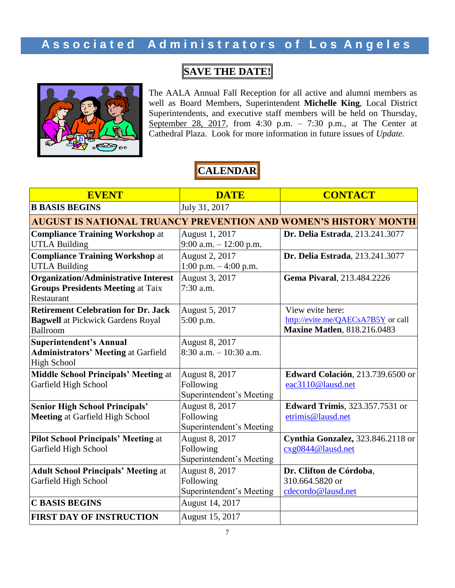# **SAVE THE DATE!**



The AALA Annual Fall Reception for all active and alumni members as well as Board Members, Superintendent **Michelle King**, Local District Superintendents, and executive staff members will be held on Thursday, September 28, 2017, from 4:30 p.m. - 7:30 p.m., at The Center at Cathedral Plaza. Look for more information in future issues of *Update.*

# **CALENDAR**

| <b>EVENT</b>                                                           | <b>DATE</b>               | <b>CONTACT</b>                           |
|------------------------------------------------------------------------|---------------------------|------------------------------------------|
| <b>B BASIS BEGINS</b>                                                  | July 31, 2017             |                                          |
| <b>AUGUST IS NATIONAL TRUANCY PREVENTION AND WOMEN'S HISTORY MONTH</b> |                           |                                          |
| <b>Compliance Training Workshop at</b>                                 | August 1, 2017            | Dr. Delia Estrada, 213.241.3077          |
| <b>UTLA Building</b>                                                   | $9:00$ a.m. $-12:00$ p.m. |                                          |
| <b>Compliance Training Workshop at</b>                                 | August 2, 2017            | Dr. Delia Estrada, 213.241.3077          |
| <b>UTLA Building</b>                                                   | 1:00 p.m. $-$ 4:00 p.m.   |                                          |
| <b>Organization/Administrative Interest</b>                            | August 3, 2017            | Gema Pivaral, 213.484.2226               |
| <b>Groups Presidents Meeting at Taix</b>                               | $7:30$ a.m.               |                                          |
| Restaurant                                                             |                           |                                          |
| <b>Retirement Celebration for Dr. Jack</b>                             | August 5, 2017            | View evite here:                         |
| <b>Bagwell</b> at Pickwick Gardens Royal                               | $5:00$ p.m.               | http://evite.me/QAECsA7B5Y or call       |
| Ballroom                                                               |                           | <b>Maxine Matlen</b> , 818.216.0483      |
| Superintendent's Annual                                                | August 8, 2017            |                                          |
| <b>Administrators' Meeting at Garfield</b>                             | $8:30$ a.m. $-10:30$ a.m. |                                          |
| <b>High School</b>                                                     |                           |                                          |
| <b>Middle School Principals' Meeting at</b>                            | August 8, 2017            | <b>Edward Colación</b> , 213.739.6500 or |
| Garfield High School                                                   | Following                 | eac3110@lausd.net                        |
|                                                                        | Superintendent's Meeting  |                                          |
| <b>Senior High School Principals'</b>                                  | August 8, 2017            | <b>Edward Trimis</b> , 323.357.7531 or   |
| <b>Meeting at Garfield High School</b>                                 | Following                 | etrimis@lausd.net                        |
|                                                                        | Superintendent's Meeting  |                                          |
| <b>Pilot School Principals' Meeting at</b>                             | August 8, 2017            | Cynthia Gonzalez, 323.846.2118 or        |
| Garfield High School                                                   | Following                 | cxg0844@lausd.net                        |
|                                                                        | Superintendent's Meeting  |                                          |
| <b>Adult School Principals' Meeting at</b>                             | <b>August 8, 2017</b>     | Dr. Clifton de Córdoba,                  |
| Garfield High School                                                   | Following                 | 310.664.5820 or                          |
|                                                                        | Superintendent's Meeting  | cdecordo@lausd.net                       |
| <b>C BASIS BEGINS</b>                                                  | August 14, 2017           |                                          |
| <b>FIRST DAY OF INSTRUCTION</b>                                        | August 15, 2017           |                                          |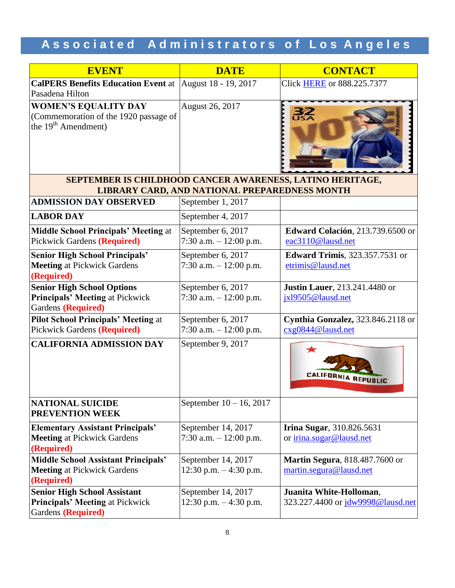# Associated Administrators of Los Angeles

| <b>EVENT</b>                                                                                            | <b>DATE</b>                                     | <b>CONTACT</b>                                                |
|---------------------------------------------------------------------------------------------------------|-------------------------------------------------|---------------------------------------------------------------|
| <b>CalPERS Benefits Education Event</b> at  August 18 - 19, 2017                                        |                                                 | <b>Click HERE or 888.225.7377</b>                             |
| Pasadena Hilton                                                                                         |                                                 |                                                               |
| <b>WOMEN'S EQUALITY DAY</b><br>(Commemoration of the 1920 passage of<br>the 19 <sup>th</sup> Amendment) | August 26, 2017                                 | <b>32</b>                                                     |
|                                                                                                         |                                                 |                                                               |
| SEPTEMBER IS CHILDHOOD CANCER AWARENESS, LATINO HERITAGE,                                               | LIBRARY CARD, AND NATIONAL PREPAREDNESS MONTH   |                                                               |
| <b>ADMISSION DAY OBSERVED</b>                                                                           | September 1, 2017                               |                                                               |
| <b>LABOR DAY</b>                                                                                        | September 4, 2017                               |                                                               |
| <b>Middle School Principals' Meeting at</b><br><b>Pickwick Gardens (Required)</b>                       | September 6, 2017<br>7:30 a.m. $-12:00$ p.m.    | <b>Edward Colación</b> , 213.739.6500 or<br>eac3110@lausd.net |
| <b>Senior High School Principals'</b>                                                                   | September 6, 2017                               | <b>Edward Trimis</b> , 323.357.7531 or                        |
| <b>Meeting at Pickwick Gardens</b>                                                                      | 7:30 a.m. $-12:00$ p.m.                         | etrimis@lausd.net                                             |
| (Required)                                                                                              |                                                 |                                                               |
| <b>Senior High School Options</b>                                                                       | September 6, 2017                               | <b>Justin Lauer</b> , 213.241.4480 or                         |
| <b>Principals' Meeting at Pickwick</b><br>Gardens (Required)                                            | 7:30 a.m. $-12:00$ p.m.                         | jxl9505@lausd.net                                             |
| <b>Pilot School Principals' Meeting at</b>                                                              | September 6, 2017                               | Cynthia Gonzalez, 323.846.2118 or                             |
| Pickwick Gardens (Required)                                                                             | 7:30 a.m. $-12:00$ p.m.                         | cxg0844@lausd.net                                             |
| <b>CALIFORNIA ADMISSION DAY</b>                                                                         | September 9, 2017                               | ★<br><b>CALIFORNIA REPUBLIC</b>                               |
| <b>NATIONAL SUICIDE</b><br><b>PREVENTION WEEK</b>                                                       | September $10 - 16$ , 2017                      |                                                               |
| <b>Elementary Assistant Principals'</b>                                                                 | September 14, 2017                              | <b>Irina Sugar</b> , 310.826.5631                             |
| <b>Meeting at Pickwick Gardens</b>                                                                      | 7:30 a.m. $-12:00$ p.m.                         | or irina.sugar@lausd.net                                      |
| (Required)                                                                                              |                                                 |                                                               |
| <b>Middle School Assistant Principals'</b><br><b>Meeting at Pickwick Gardens</b>                        | September 14, 2017<br>$12:30$ p.m. $-4:30$ p.m. | Martin Segura, 818.487.7600 or<br>martin.segura@lausd.net     |
| (Required)                                                                                              |                                                 |                                                               |
| <b>Senior High School Assistant</b>                                                                     | September 14, 2017                              | Juanita White-Holloman,                                       |
| <b>Principals' Meeting at Pickwick</b><br>Gardens (Required)                                            | 12:30 p.m. $-4:30$ p.m.                         | 323.227.4400 or jdw9998@lausd.net                             |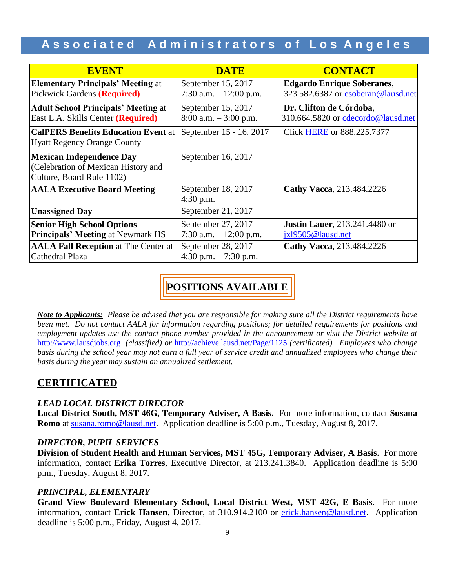| <b>EVENT</b>                                                                                        | <b>DATE</b>                                    | <b>CONTACT</b>                                                          |
|-----------------------------------------------------------------------------------------------------|------------------------------------------------|-------------------------------------------------------------------------|
| <b>Elementary Principals' Meeting at</b><br>Pickwick Gardens (Required)                             | September 15, 2017<br>7:30 a.m. $-12:00$ p.m.  | <b>Edgardo Enrique Soberanes,</b><br>323.582.6387 or esoberan@lausd.net |
| <b>Adult School Principals' Meeting at</b><br>East L.A. Skills Center (Required)                    | September 15, 2017<br>$8:00$ a.m. $-3:00$ p.m. | Dr. Clifton de Córdoba,<br>310.664.5820 or cdecordo@lausd.net           |
| <b>CalPERS Benefits Education Event at</b><br><b>Hyatt Regency Orange County</b>                    | September 15 - 16, 2017                        | Click HERE or 888.225.7377                                              |
| <b>Mexican Independence Day</b><br>(Celebration of Mexican History and<br>Culture, Board Rule 1102) | September 16, 2017                             |                                                                         |
| <b>AALA Executive Board Meeting</b>                                                                 | September 18, 2017<br>4:30 p.m.                | Cathy Vacca, 213.484.2226                                               |
| <b>Unassigned Day</b>                                                                               | September 21, 2017                             |                                                                         |
| <b>Senior High School Options</b><br><b>Principals' Meeting at Newmark HS</b>                       | September 27, 2017<br>7:30 a.m. $-12:00$ p.m.  | <b>Justin Lauer</b> , 213.241.4480 or<br>jx19505@lausd.net              |
| <b>AALA Fall Reception at The Center at</b><br>Cathedral Plaza                                      | September 28, 2017<br>$4:30$ p.m. $-7:30$ p.m. | Cathy Vacca, 213.484.2226                                               |

# **POSITIONS AVAILABLE**

*Note to Applicants: Please be advised that you are responsible for making sure all the District requirements have been met. Do not contact AALA for information regarding positions; for detailed requirements for positions and employment updates use the contact phone number provided in the announcement or visit the District website at*  [http://www.lausdjobs.org](http://www.lausdjobs.org/) *(classified) or* <http://achieve.lausd.net/Page/1125> *(certificated). Employees who change basis during the school year may not earn a full year of service credit and annualized employees who change their basis during the year may sustain an annualized settlement.*

### **CERTIFICATED**

### *LEAD LOCAL DISTRICT DIRECTOR*

**Local District South, MST 46G, Temporary Adviser, A Basis.** For more information, contact **Susana Romo** at [susana.romo@lausd.net.](mailto:susana.romo@lausd.net) Application deadline is 5:00 p.m., Tuesday, August 8, 2017.

### *DIRECTOR, PUPIL SERVICES*

**Division of Student Health and Human Services, MST 45G, Temporary Adviser, A Basis**. For more information, contact **Erika Torres**, Executive Director, at 213.241.3840. Application deadline is 5:00 p.m., Tuesday, August 8, 2017.

### *PRINCIPAL, ELEMENTARY*

**Grand View Boulevard Elementary School, Local District West, MST 42G, E Basis**. For more information, contact **Erick Hansen**, Director, at 310.914.2100 or [erick.hansen@lausd.net.](mailto:erick.hansen@lausd.net) Application deadline is 5:00 p.m., Friday, August 4, 2017.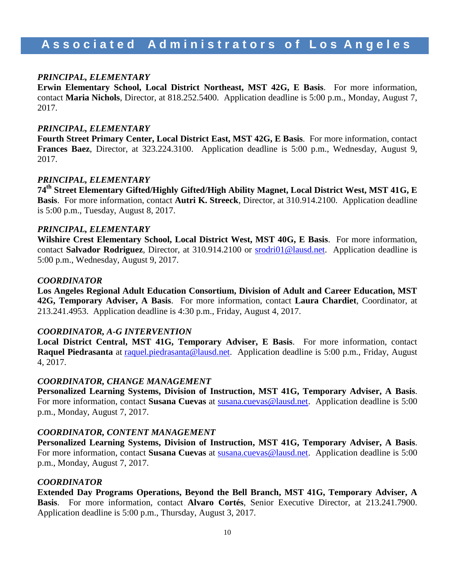#### *PRINCIPAL, ELEMENTARY*

**Erwin Elementary School, Local District Northeast, MST 42G, E Basis**. For more information, contact **Maria Nichols**, Director, at 818.252.5400. Application deadline is 5:00 p.m., Monday, August 7, 2017.

#### *PRINCIPAL, ELEMENTARY*

**Fourth Street Primary Center, Local District East, MST 42G, E Basis**. For more information, contact **Frances Baez**, Director, at 323.224.3100. Application deadline is 5:00 p.m., Wednesday, August 9, 2017.

#### *PRINCIPAL, ELEMENTARY*

**74th Street Elementary Gifted/Highly Gifted/High Ability Magnet, Local District West, MST 41G, E Basis**. For more information, contact **Autri K. Streeck**, Director, at 310.914.2100. Application deadline is 5:00 p.m., Tuesday, August 8, 2017.

#### *PRINCIPAL, ELEMENTARY*

**Wilshire Crest Elementary School, Local District West, MST 40G, E Basis**. For more information, contact **Salvador Rodriguez**, Director, at 310.914.2100 or [srodri01@lausd.net.](mailto:srodri01@lausd.net) Application deadline is 5:00 p.m., Wednesday, August 9, 2017.

#### *COORDINATOR*

**Los Angeles Regional Adult Education Consortium, Division of Adult and Career Education, MST 42G, Temporary Adviser, A Basis**. For more information, contact **Laura Chardiet**, Coordinator, at 213.241.4953. Application deadline is 4:30 p.m., Friday, August 4, 2017.

#### *COORDINATOR, A-G INTERVENTION*

**Local District Central, MST 41G, Temporary Adviser, E Basis**. For more information, contact **Raquel Piedrasanta** at [raquel.piedrasanta@lausd.net.](mailto:raquel.piedrasanta@lausd.net) Application deadline is 5:00 p.m., Friday, August 4, 2017.

#### *COORDINATOR, CHANGE MANAGEMENT*

**Personalized Learning Systems, Division of Instruction, MST 41G, Temporary Adviser, A Basis**. For more information, contact **Susana Cuevas** at [susana.cuevas@lausd.net.](mailto:susana.cuevas@lausd.net) Application deadline is 5:00 p.m., Monday, August 7, 2017.

#### *COORDINATOR, CONTENT MANAGEMENT*

**Personalized Learning Systems, Division of Instruction, MST 41G, Temporary Adviser, A Basis**. For more information, contact Susana Cuevas at **susana.cuevas@lausd.net**. Application deadline is 5:00 p.m., Monday, August 7, 2017.

#### *COORDINATOR*

**Extended Day Programs Operations, Beyond the Bell Branch, MST 41G, Temporary Adviser, A Basis**. For more information, contact **Alvaro Cortés**, Senior Executive Director, at 213.241.7900. Application deadline is 5:00 p.m., Thursday, August 3, 2017.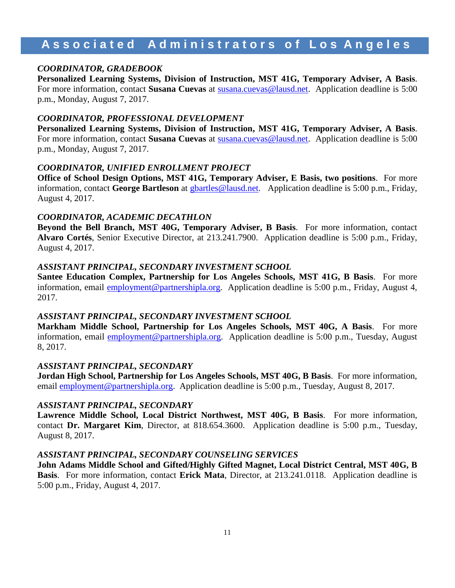#### *COORDINATOR, GRADEBOOK*

**Personalized Learning Systems, Division of Instruction, MST 41G, Temporary Adviser, A Basis**. For more information, contact **Susana Cuevas** at [susana.cuevas@lausd.net.](mailto:susana.cuevas@lausd.net) Application deadline is 5:00 p.m., Monday, August 7, 2017.

#### *COORDINATOR, PROFESSIONAL DEVELOPMENT*

**Personalized Learning Systems, Division of Instruction, MST 41G, Temporary Adviser, A Basis**. For more information, contact **Susana Cuevas** at [susana.cuevas@lausd.net.](mailto:susana.cuevas@lausd.net) Application deadline is 5:00 p.m., Monday, August 7, 2017.

#### *COORDINATOR, UNIFIED ENROLLMENT PROJECT*

**Office of School Design Options, MST 41G, Temporary Adviser, E Basis, two positions**. For more information, contact **George Bartleson** at [gbartles@lausd.net.](mailto:gbartles@lausd.net) Application deadline is 5:00 p.m., Friday, August 4, 2017.

#### *COORDINATOR, ACADEMIC DECATHLON*

**Beyond the Bell Branch, MST 40G, Temporary Adviser, B Basis**. For more information, contact **Alvaro Cortés**, Senior Executive Director, at 213.241.7900. Application deadline is 5:00 p.m., Friday, August 4, 2017.

#### *ASSISTANT PRINCIPAL, SECONDARY INVESTMENT SCHOOL*

**Santee Education Complex, Partnership for Los Angeles Schools, MST 41G, B Basis**. For more information, email **employment@partnershipla.org**. Application deadline is 5:00 p.m., Friday, August 4, 2017.

#### *ASSISTANT PRINCIPAL, SECONDARY INVESTMENT SCHOOL*

**Markham Middle School, Partnership for Los Angeles Schools, MST 40G, A Basis**. For more information, email **employment@partnershipla.org**. Application deadline is 5:00 p.m., Tuesday, August 8, 2017.

#### *ASSISTANT PRINCIPAL, SECONDARY*

**Jordan High School, Partnership for Los Angeles Schools, MST 40G, B Basis**. For more information, email **employment**@partnershipla.org. Application deadline is 5:00 p.m., Tuesday, August 8, 2017.

#### *ASSISTANT PRINCIPAL, SECONDARY*

**Lawrence Middle School, Local District Northwest, MST 40G, B Basis**. For more information, contact **Dr. Margaret Kim**, Director, at 818.654.3600. Application deadline is 5:00 p.m., Tuesday, August 8, 2017.

#### *ASSISTANT PRINCIPAL, SECONDARY COUNSELING SERVICES*

**John Adams Middle School and Gifted/Highly Gifted Magnet, Local District Central, MST 40G, B Basis**. For more information, contact **Erick Mata**, Director, at 213.241.0118. Application deadline is 5:00 p.m., Friday, August 4, 2017.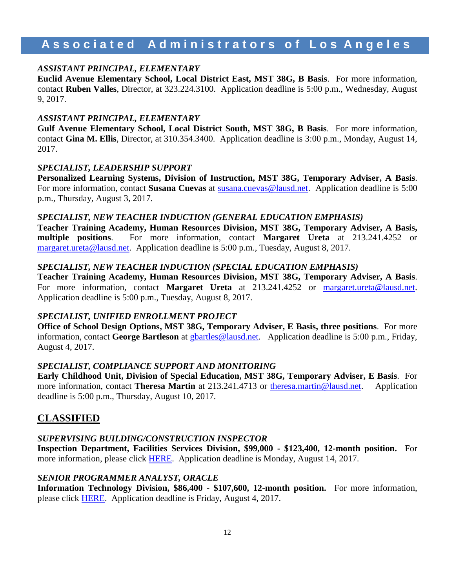#### *ASSISTANT PRINCIPAL, ELEMENTARY*

**Euclid Avenue Elementary School, Local District East, MST 38G, B Basis**. For more information, contact **Ruben Valles**, Director, at 323.224.3100. Application deadline is 5:00 p.m., Wednesday, August 9, 2017.

#### *ASSISTANT PRINCIPAL, ELEMENTARY*

**Gulf Avenue Elementary School, Local District South, MST 38G, B Basis**. For more information, contact **Gina M. Ellis**, Director, at 310.354.3400. Application deadline is 3:00 p.m., Monday, August 14, 2017.

#### *SPECIALIST, LEADERSHIP SUPPORT*

**Personalized Learning Systems, Division of Instruction, MST 38G, Temporary Adviser, A Basis**. For more information, contact **Susana Cuevas** at [susana.cuevas@lausd.net.](mailto:susana.cuevas@lausd.net) Application deadline is 5:00 p.m., Thursday, August 3, 2017.

#### *SPECIALIST, NEW TEACHER INDUCTION (GENERAL EDUCATION EMPHASIS)*

**Teacher Training Academy, Human Resources Division, MST 38G, Temporary Adviser, A Basis, multiple positions**. For more information, contact **Margaret Ureta** at 213.241.4252 or [margaret.ureta@lausd.net.](mailto:margaret.ureta@lausd.net) Application deadline is 5:00 p.m., Tuesday, August 8, 2017.

#### *SPECIALIST, NEW TEACHER INDUCTION (SPECIAL EDUCATION EMPHASIS)*

**Teacher Training Academy, Human Resources Division, MST 38G, Temporary Adviser, A Basis**. For more information, contact **Margaret Ureta** at 213.241.4252 or [margaret.ureta@lausd.net.](mailto:margaret.ureta@lausd.net) Application deadline is 5:00 p.m., Tuesday, August 8, 2017.

#### *SPECIALIST, UNIFIED ENROLLMENT PROJECT*

**Office of School Design Options, MST 38G, Temporary Adviser, E Basis, three positions**. For more information, contact **George Bartleson** at [gbartles@lausd.net.](mailto:gbartles@lausd.net) Application deadline is 5:00 p.m., Friday, August 4, 2017.

#### *SPECIALIST, COMPLIANCE SUPPORT AND MONITORING*

**Early Childhood Unit, Division of Special Education, MST 38G, Temporary Adviser, E Basis**. For more information, contact **Theresa Martin** at 213.241.4713 or [theresa.martin@lausd.net.](mailto:theresa.martin@lausd.net) Application deadline is 5:00 p.m., Thursday, August 10, 2017.

### **CLASSIFIED**

#### *SUPERVISING BUILDING/CONSTRUCTION INSPECTOR*

**Inspection Department, Facilities Services Division, \$99,000 - \$123,400, 12-month position.** For more information, please click [HERE.](https://btserec.lausd.net/sap/bc/webdynpro/sap/zerwd_a_refcode_srch_int?sap-client=910) Application deadline is Monday, August 14, 2017.

### *SENIOR PROGRAMMER ANALYST, ORACLE*

**Information Technology Division, \$86,400 - \$107,600, 12-month position.** For more information, please click [HERE.](https://btserec.lausd.net/sap/bc/webdynpro/sap/zerwd_a_refcode_srch_int?sap-client=910) Application deadline is Friday, August 4, 2017.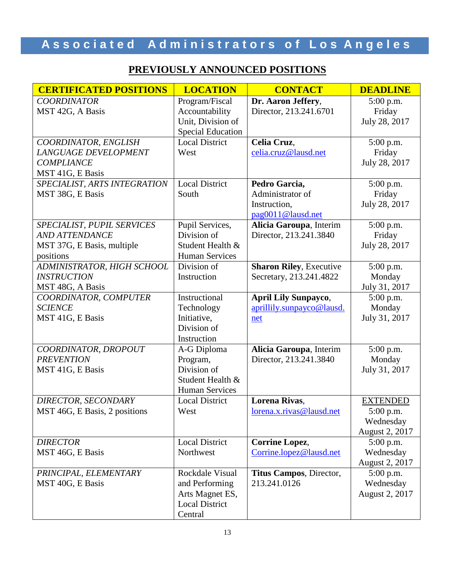# Associated Administrators of Los Angeles

# **PREVIOUSLY ANNOUNCED POSITIONS**

| <b>CERTIFICATED POSITIONS</b> | <b>LOCATION</b>          | <b>CONTACT</b>                 | <b>DEADLINE</b> |
|-------------------------------|--------------------------|--------------------------------|-----------------|
| <b>COORDINATOR</b>            | Program/Fiscal           | Dr. Aaron Jeffery,             | 5:00 p.m.       |
| MST 42G, A Basis              | Accountability           | Director, 213.241.6701         | Friday          |
|                               | Unit, Division of        |                                | July 28, 2017   |
|                               | <b>Special Education</b> |                                |                 |
| COORDINATOR, ENGLISH          | <b>Local District</b>    | Celia Cruz,                    | 5:00 p.m.       |
| <b>LANGUAGE DEVELOPMENT</b>   | West                     | celia.cruz@lausd.net           | Friday          |
| <b>COMPLIANCE</b>             |                          |                                | July 28, 2017   |
| MST 41G, E Basis              |                          |                                |                 |
| SPECIALIST, ARTS INTEGRATION  | Local District           | Pedro Garcia,                  | 5:00 p.m.       |
| MST 38G, E Basis              | South                    | Administrator of               | Friday          |
|                               |                          | Instruction,                   | July 28, 2017   |
|                               |                          | pag0011@lausd.net              |                 |
| SPECIALIST, PUPIL SERVICES    | Pupil Services,          | Alicia Garoupa, Interim        | 5:00 p.m.       |
| <b>AND ATTENDANCE</b>         | Division of              | Director, 213.241.3840         | Friday          |
| MST 37G, E Basis, multiple    | Student Health &         |                                | July 28, 2017   |
| positions                     | <b>Human Services</b>    |                                |                 |
| ADMINISTRATOR, HIGH SCHOOL    | Division of              | <b>Sharon Riley, Executive</b> | 5:00 p.m.       |
| <b>INSTRUCTION</b>            | Instruction              | Secretary, 213.241.4822        | Monday          |
| MST 48G, A Basis              |                          |                                | July 31, 2017   |
| COORDINATOR, COMPUTER         | Instructional            | <b>April Lily Sunpayco,</b>    | 5:00 p.m.       |
| <b>SCIENCE</b>                | Technology               | aprillily.sunpayco@lausd.      | Monday          |
| MST 41G, E Basis              | Initiative,              | net                            | July 31, 2017   |
|                               | Division of              |                                |                 |
|                               | Instruction              |                                |                 |
| COORDINATOR, DROPOUT          | A-G Diploma              | Alicia Garoupa, Interim        | 5:00 p.m.       |
| <b>PREVENTION</b>             | Program,                 | Director, 213.241.3840         | Monday          |
| MST 41G, E Basis              | Division of              |                                | July 31, 2017   |
|                               | Student Health &         |                                |                 |
|                               | <b>Human Services</b>    |                                |                 |
| <b>DIRECTOR, SECONDARY</b>    | <b>Local District</b>    | Lorena Rivas,                  | <b>EXTENDED</b> |
| MST 46G, E Basis, 2 positions | West                     | lorena.x.rivas@lausd.net       | $5:00$ p.m.     |
|                               |                          |                                | Wednesday       |
|                               |                          |                                | August 2, 2017  |
| <b>DIRECTOR</b>               | <b>Local District</b>    | <b>Corrine Lopez,</b>          | 5:00 p.m.       |
| MST 46G, E Basis              | Northwest                | Corrine.lopez@lausd.net        | Wednesday       |
|                               |                          |                                | August 2, 2017  |
| PRINCIPAL, ELEMENTARY         | Rockdale Visual          | Titus Campos, Director,        | 5:00 p.m.       |
| MST 40G, E Basis              | and Performing           | 213.241.0126                   | Wednesday       |
|                               | Arts Magnet ES,          |                                | August 2, 2017  |
|                               | <b>Local District</b>    |                                |                 |
|                               | Central                  |                                |                 |